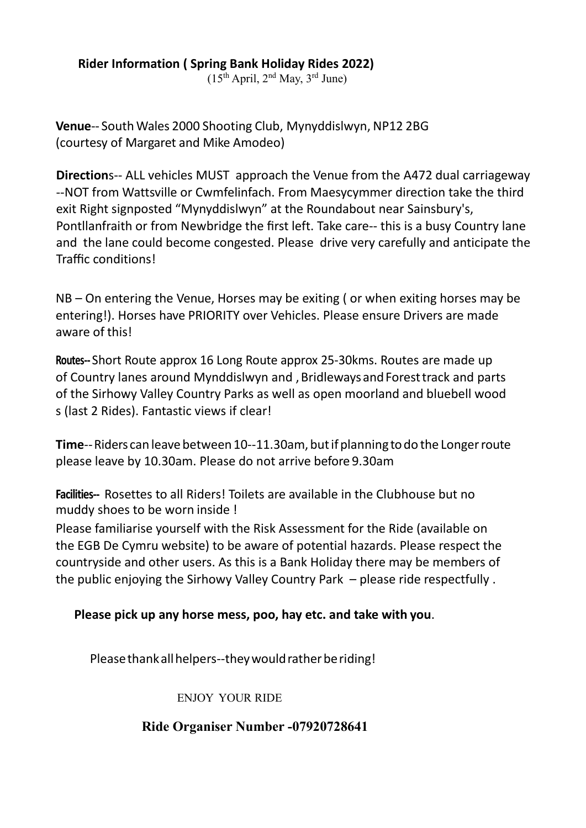**Rider Information ( Spring Bank Holiday Rides 2022)**

 $(15<sup>th</sup> April, 2<sup>nd</sup> May, 3<sup>rd</sup> June)$ 

**Venue**-- South Wales 2000 Shooting Club, Mynyddislwyn, NP12 2BG (courtesy of Margaret and Mike Amodeo)

**Direction**s-- ALL vehicles MUST approach the Venue from the A472 dual carriageway --NOT from Wattsville or Cwmfelinfach. From Maesycymmer direction take the third exit Right signposted "Mynyddislwyn" at the Roundabout near Sainsbury's, Pontllanfraith or from Newbridge the first left. Take care-- this is a busy Country lane and the lane could become congested. Please drive very carefully and anticipate the Traffic conditions!

NB – On entering the Venue, Horses may be exiting (or when exiting horses may be entering!). Horses have PRIORITY over Vehicles. Please ensure Drivers are made aware of this!

**Routes--** Short Route approx 16 Long Route approx 25-30kms. Routes are made up of Country lanes around Mynddislwyn and, Bridleways and Forest track and parts of the Sirhowy Valley Country Parks as well as open moorland and bluebell wood s (last 2 Rides). Fantastic views if clear!

**Time**-- Riders can leave between 10--11.30am, but if planning to do the Longer route please leave by 10.30am. Please do not arrive before 9.30am

**Facilities--** Rosettes to all Riders! Toilets are available in the Clubhouse but no muddy shoes to be worn inside !

Please familiarise yourself with the Risk Assessment for the Ride (available on the EGB De Cymru website) to be aware of potential hazards. Please respect the countryside and other users. As this is a Bank Holiday there may be members of the public enjoying the Sirhowy Valley Country Park – please ride respectfully .

## **Please pick up any horse mess, poo, hay etc. and take with you**.

Please thank all helpers--they would rather be riding!

ENJOY YOUR RIDE

## **Ride Organiser Number -07920728641**